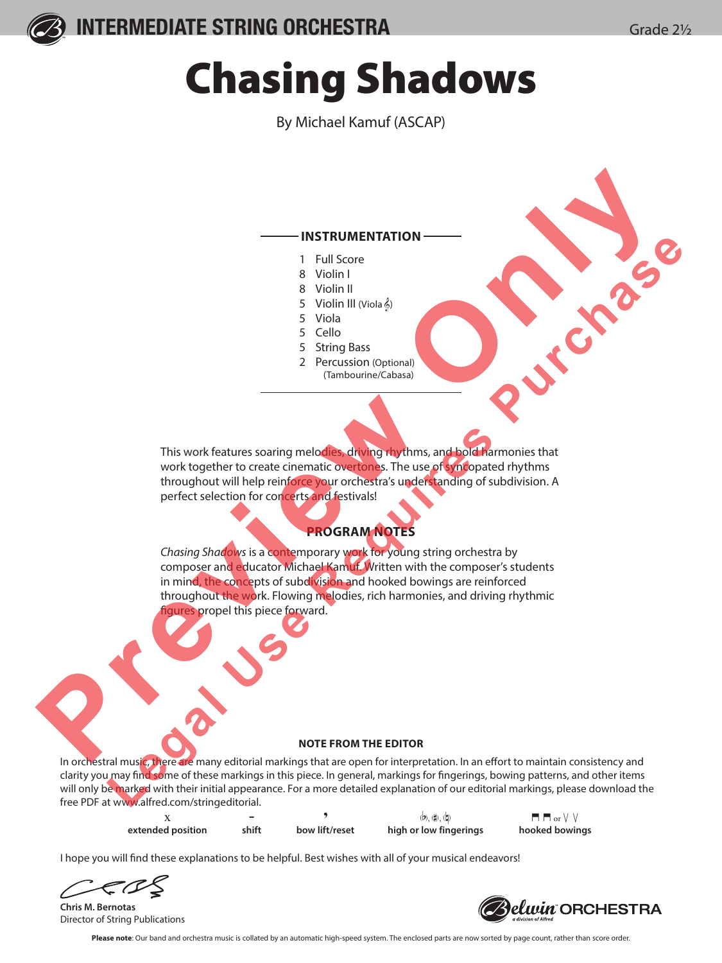

# Chasing Shadows

By Michael Kamuf (ASCAP)

## **INSTRUMENTATION**

- 1 Full Score
- 8 Violin I
- 8 Violin II
- 5 Violin III (Viola &)
- 5 Viola
- 5 Cello
- 5 String Bass
- 2 Percussion (Optional) (Tambourine/Cabasa)

This work features soaring melodies, driving rhythms, and bold harmonies that work together to create cinematic overtones. The use of syncopated rhythms throughout will help reinforce your orchestra's understanding of subdivision. A perfect selection for concerts and festivals!

# **PROGRAM NOTES**

*Chasing Shadows* is a contemporary work for young string orchestra by composer and educator Michael Kamuf. Written with the composer's students in mind, the concepts of subdivision and hooked bowings are reinforced throughout the work. Flowing melodies, rich harmonies, and driving rhythmic gures propel this piece forward. **PREVIEW ENTRUMENTATION**<br> **PREVIEW ENTRURENTATION**<br> **PREVIEW AND CONFIDENCE**<br> **PREVIEW AND CONFIDENCE**<br> **PREVIEW AND CONFIDENCE**<br> **PREVIEW AND CONFIDENCE**<br> **PREVIEW AND CONFIDENCE**<br> **PREVIEW AND CONFIDENCE**<br> **PREVIEW AND C** Legal Use Contained the Second Contained Schedule Contained Schedule Contained Schedule Contained Schedule Contained Schedule Contained Schedule Contained Schedule Contained Schedule Contained Schedule Contained Schedule C

#### **NOTE FROM THE EDITOR**

In orchestral music, there are many editorial markings that are open for interpretation. In an effort to maintain consistency and clarity you may find some of these markings in this piece. In general, markings for fingerings, bowing patterns, and other items will only be marked with their initial appearance. For a more detailed explanation of our editorial markings, please download the free PDF at www.alfred.com/stringeditorial. - ,

x **extended position**

**shift**

**bow lift/reset**

 $(b), (†), (†)$ **high or low fingerings**

 $\blacksquare$   $\blacksquare$  or  $\vee$   $\vee$ **hooked bowings**

I hope you will find these explanations to be helpful. Best wishes with all of your musical endeavors!

**Chris M. Bernotas** Director of String Publications



**Please note**: Our band and orchestra music is collated by an automatic high-speed system. The enclosed parts are now sorted by page count, rather than score order.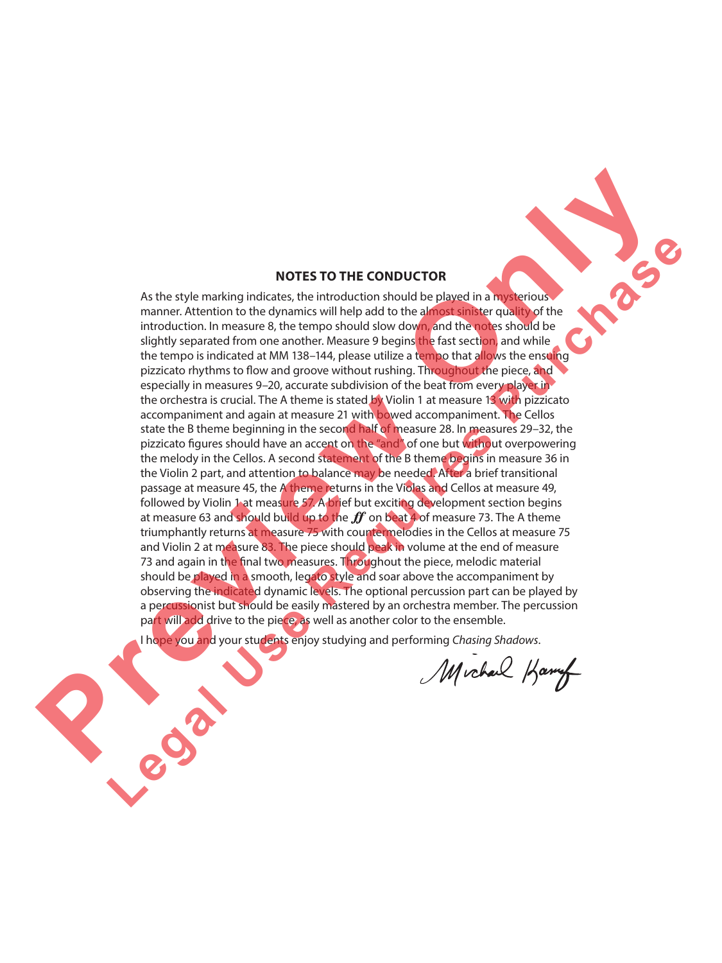### **NOTES TO THE CONDUCTOR**

As the style marking indicates, the introduction should be played in a mysterious manner. Attention to the dynamics will help add to the almost sinister quality of the introduction. In measure 8, the tempo should slow down, and the notes should be slightly separated from one another. Measure 9 begins the fast section, and while the tempo is indicated at MM 138-144, please utilize a tempo that allows the ensuing pizzicato rhythms to flow and groove without rushing. Throughout the piece, and especially in measures 9–20, accurate subdivision of the beat from every player in the orchestra is crucial. The A theme is stated by Violin 1 at measure 13 with pizzicato accompaniment and again at measure 21 with bowed accompaniment. The Cellos state the B theme beginning in the second half of measure 28. In measures 29–32, the pizzicato figures should have an accent on the "and" of one but without overpowering the melody in the Cellos. A second statement of the B theme begins in measure 36 in the Violin 2 part, and attention to balance may be needed. After a brief transitional passage at measure 45, the A theme returns in the Violas and Cellos at measure 49, followed by Violin 1 at measure  $57$ . A brief but exciting development section begins at measure 63 and should build up to the  $ff$  on beat 4 of measure 73. The A theme triumphantly returns at measure 75 with countermelodies in the Cellos at measure 75 and Violin 2 at measure 83. The piece should peak in volume at the end of measure 73 and again in the final two measures. Throughout the piece, melodic material should be played in a smooth, legato style and soar above the accompaniment by observing the indicated dynamic levels. The optional percussion part can be played by a percussionist but should be easily mastered by an orchestra member. The percussion part will add drive to the piece, as well as another color to the ensemble. **NOTES TO THE CONDUCTOR**<br>
NOTES TO THE CONDUCTOR<br>
manner Adventure in the dynamics when the bull of the president in a research preview of the dynamics when the dynamics when the state of the distribution of the base in th **Legal Use According to the Control of the Control of the Control of the Control of the Control of the Control of the Control of the Control of the Control of the Control of the Control of the Control of the Control of the** 

I hope you and your students enjoy studying and performing *Chasing Shadows*.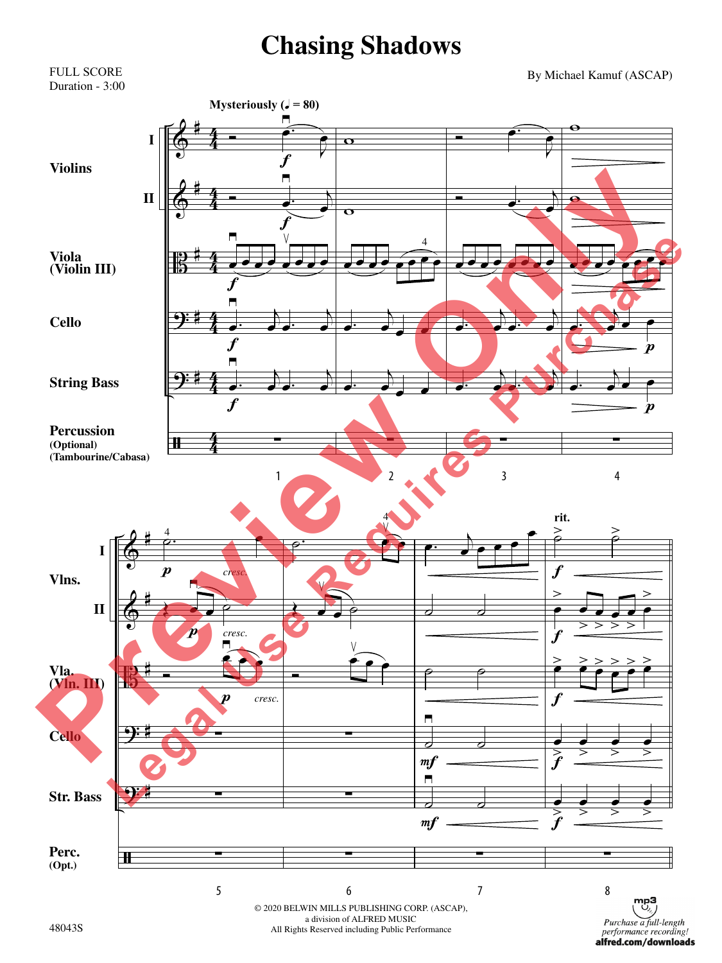# **Chasing Shadows**

Duration - 3:00

FULL SCORE By Michael Kamuf (ASCAP)

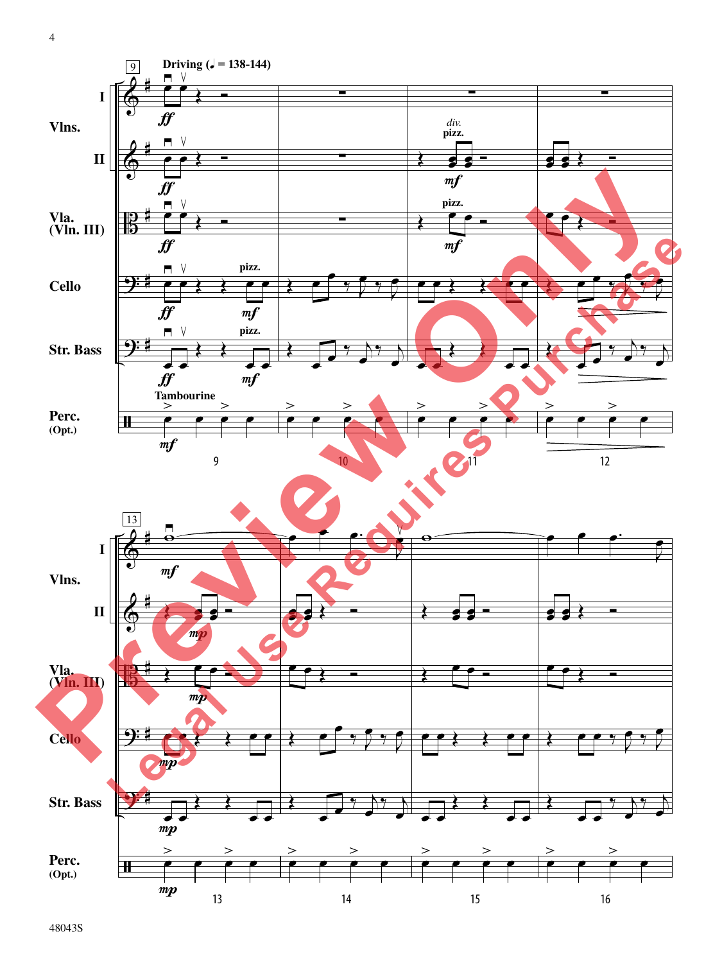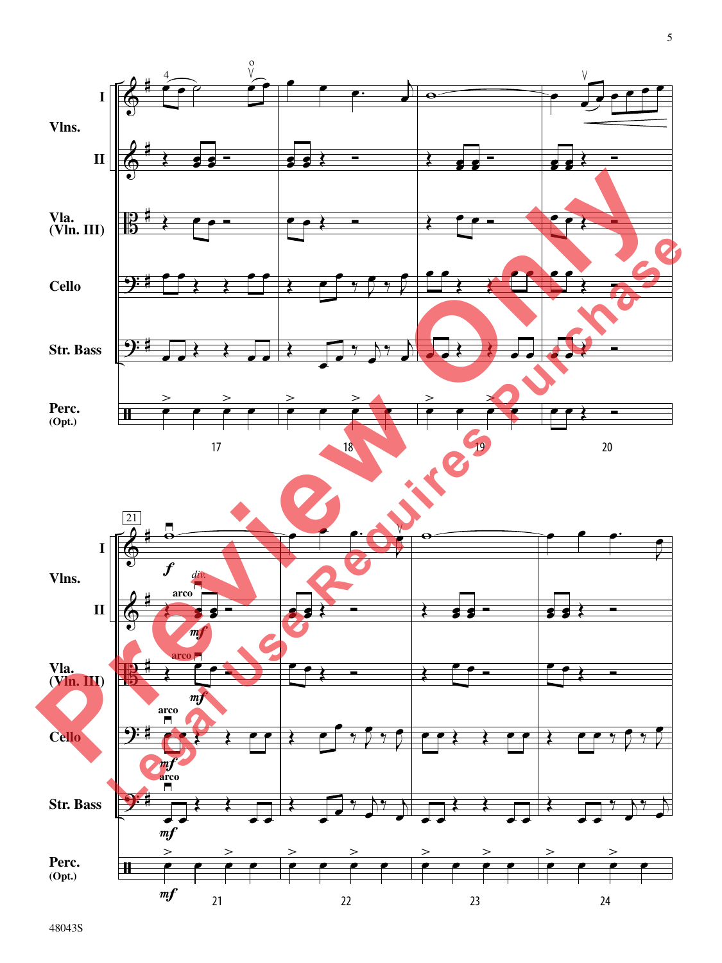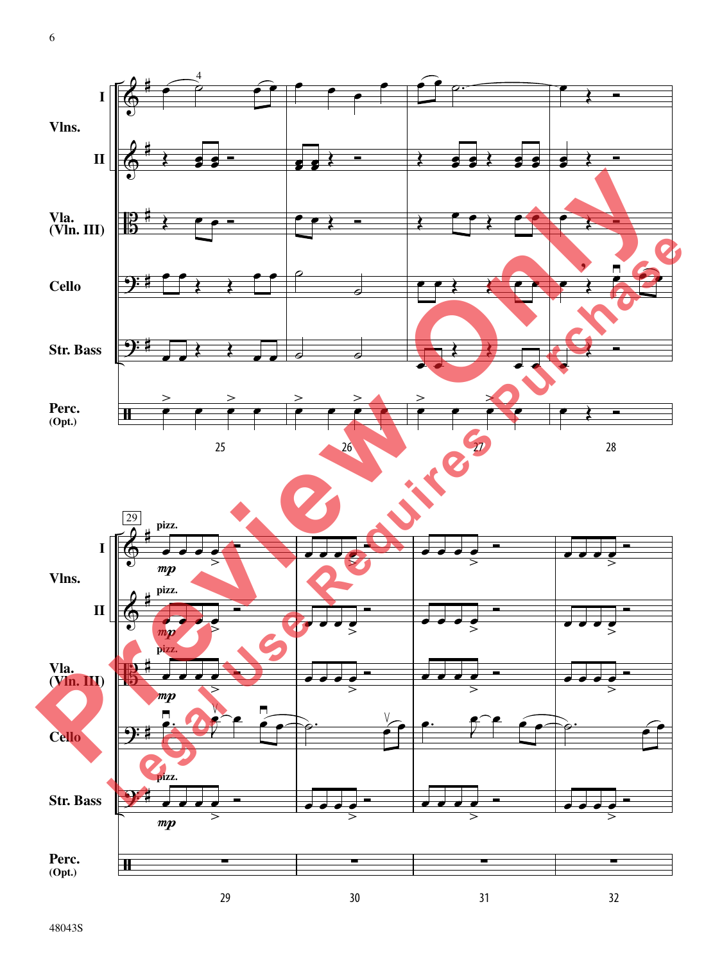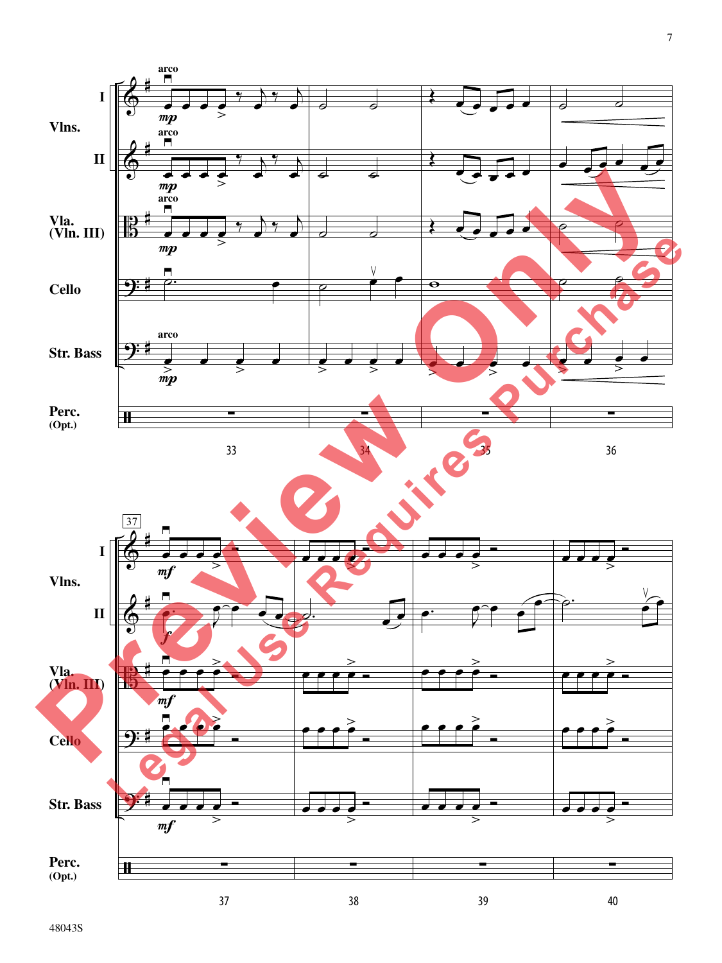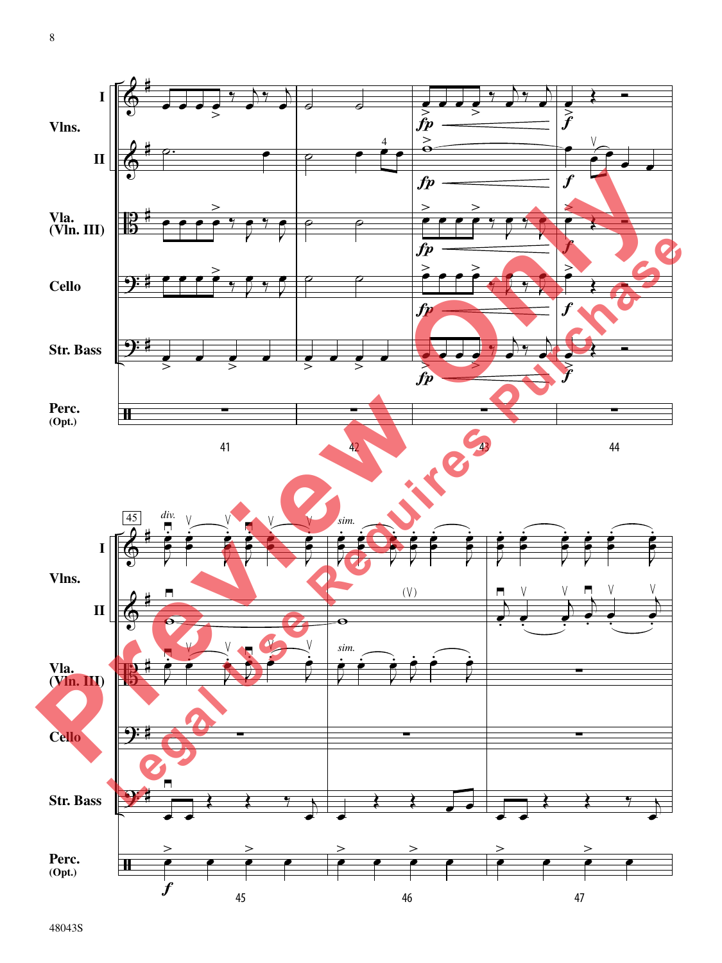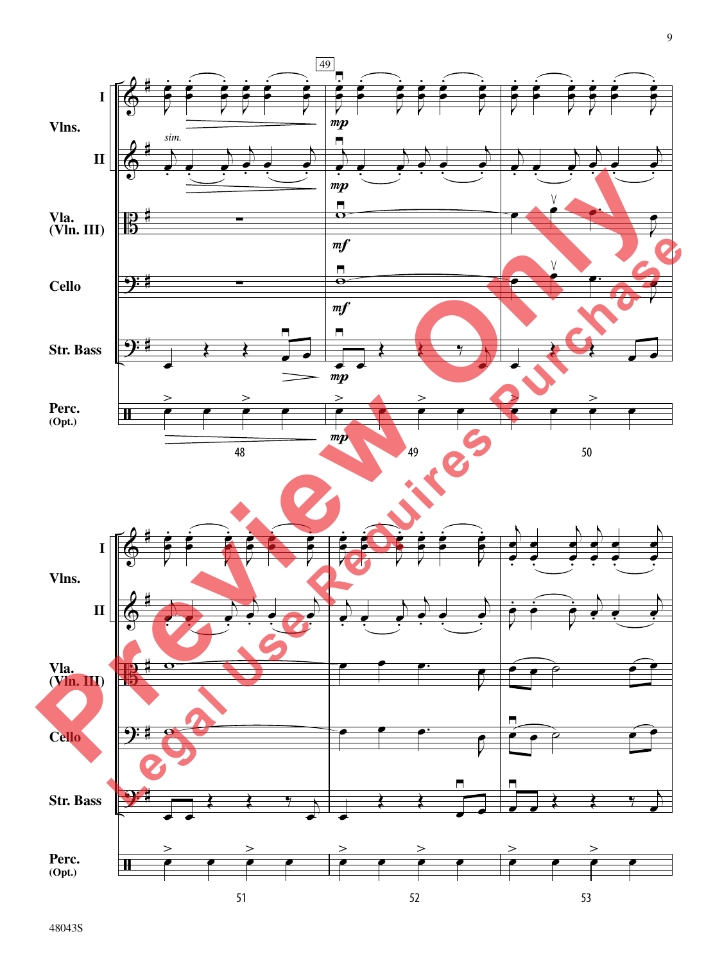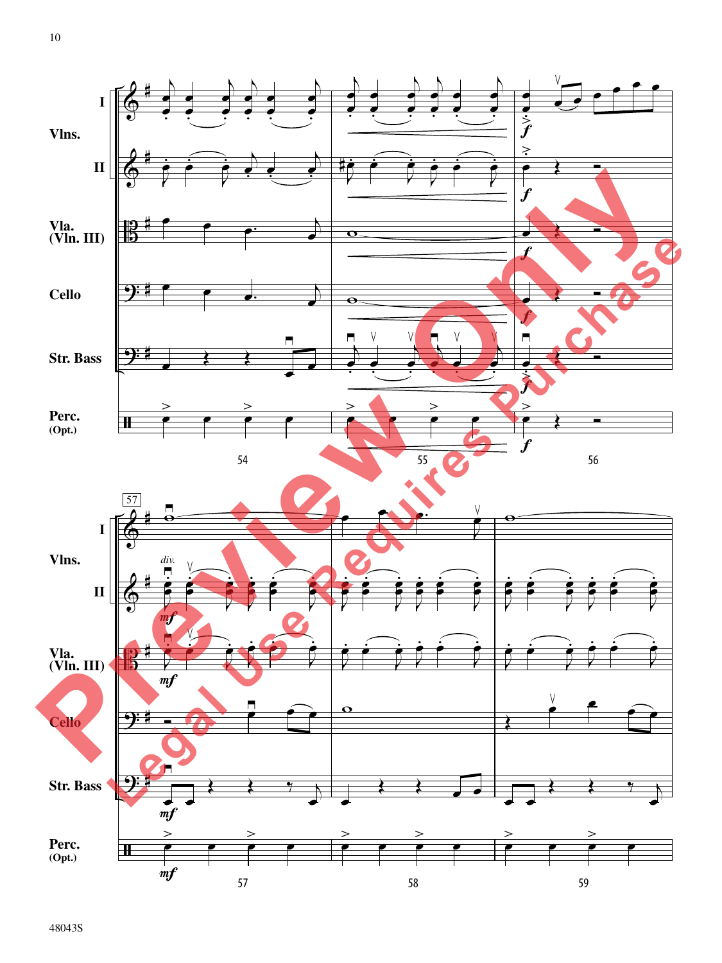

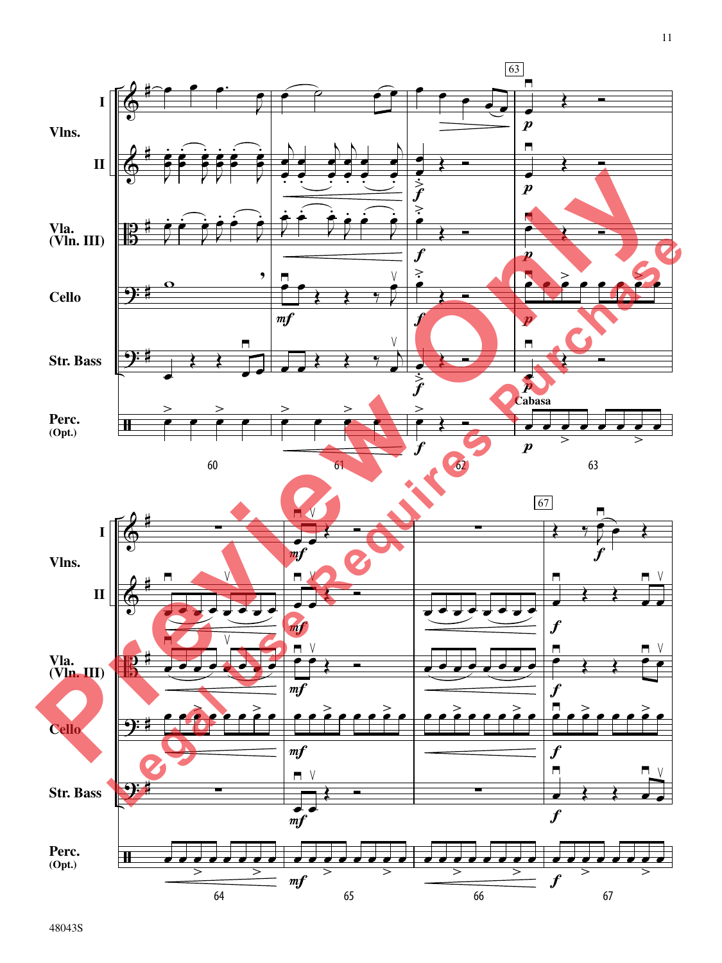

48043S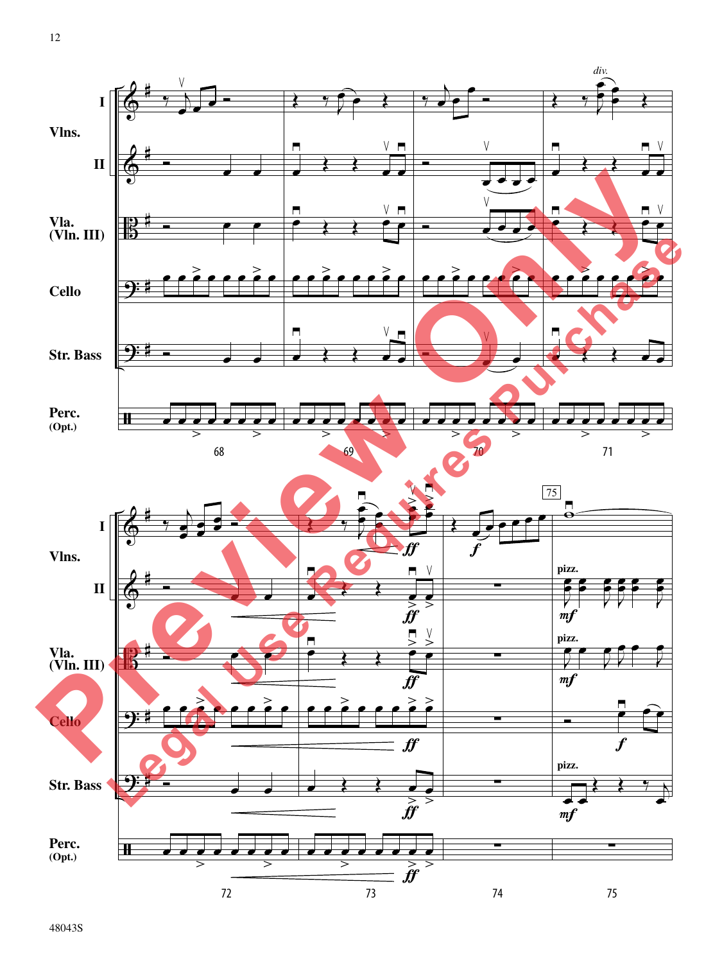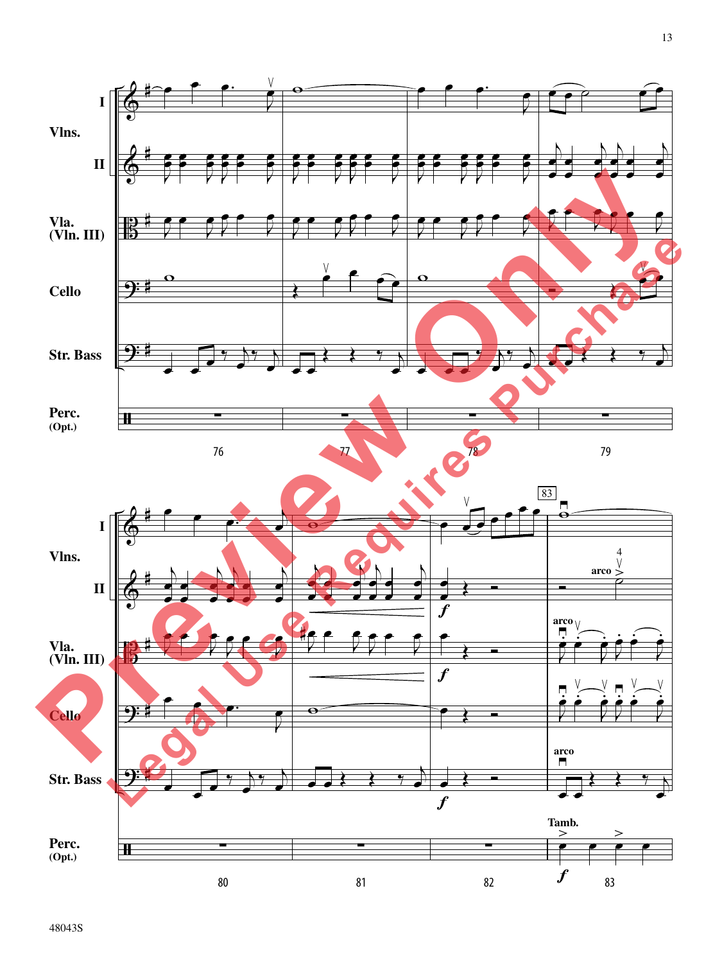